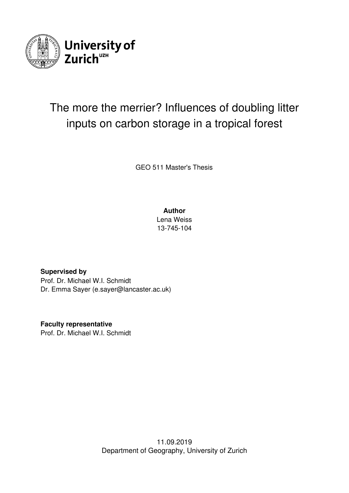

# The more the merrier? Influences of doubling litter inputs on carbon storage in a tropical forest

GEO 511 Master's Thesis

**Author**

Lena Weiss 13-745-104

**Supervised by** Prof. Dr. Michael W.I. Schmidt Dr. Emma Sayer (e.sayer@lancaster.ac.uk)

**Faculty representative** Prof. Dr. Michael W.I. Schmidt

> 11.09.2019 Department of Geography, University of Zurich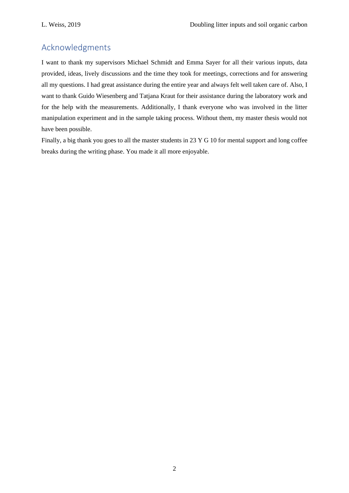## Acknowledgments

I want to thank my supervisors Michael Schmidt and Emma Sayer for all their various inputs, data provided, ideas, lively discussions and the time they took for meetings, corrections and for answering all my questions. I had great assistance during the entire year and always felt well taken care of. Also, I want to thank Guido Wiesenberg and Tatjana Kraut for their assistance during the laboratory work and for the help with the measurements. Additionally, I thank everyone who was involved in the litter manipulation experiment and in the sample taking process. Without them, my master thesis would not have been possible.

Finally, a big thank you goes to all the master students in 23 Y G 10 for mental support and long coffee breaks during the writing phase. You made it all more enjoyable.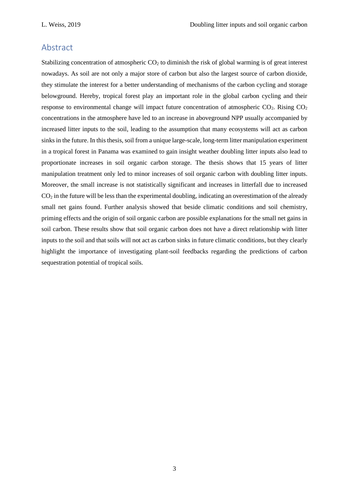## Abstract

Stabilizing concentration of atmospheric  $CO<sub>2</sub>$  to diminish the risk of global warming is of great interest nowadays. As soil are not only a major store of carbon but also the largest source of carbon dioxide, they stimulate the interest for a better understanding of mechanisms of the carbon cycling and storage belowground. Hereby, tropical forest play an important role in the global carbon cycling and their response to environmental change will impact future concentration of atmospheric  $CO<sub>2</sub>$ . Rising  $CO<sub>2</sub>$ concentrations in the atmosphere have led to an increase in aboveground NPP usually accompanied by increased litter inputs to the soil, leading to the assumption that many ecosystems will act as carbon sinks in the future. In this thesis, soil from a unique large-scale, long-term litter manipulation experiment in a tropical forest in Panama was examined to gain insight weather doubling litter inputs also lead to proportionate increases in soil organic carbon storage. The thesis shows that 15 years of litter manipulation treatment only led to minor increases of soil organic carbon with doubling litter inputs. Moreover, the small increase is not statistically significant and increases in litterfall due to increased  $CO<sub>2</sub>$  in the future will be less than the experimental doubling, indicating an overestimation of the already small net gains found. Further analysis showed that beside climatic conditions and soil chemistry, priming effects and the origin of soil organic carbon are possible explanations for the small net gains in soil carbon. These results show that soil organic carbon does not have a direct relationship with litter inputs to the soil and that soils will not act as carbon sinks in future climatic conditions, but they clearly highlight the importance of investigating plant-soil feedbacks regarding the predictions of carbon sequestration potential of tropical soils.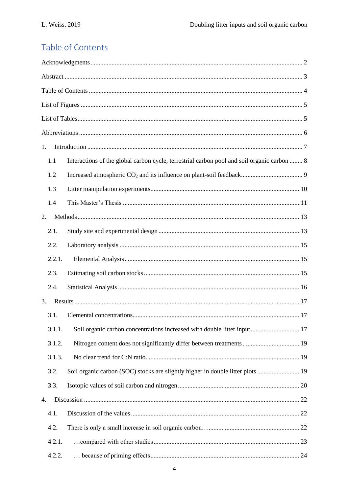## Table of Contents

| 1.     |                                                                                             |  |  |  |  |
|--------|---------------------------------------------------------------------------------------------|--|--|--|--|
| 1.1    | Interactions of the global carbon cycle, terrestrial carbon pool and soil organic carbon  8 |  |  |  |  |
| 1.2    |                                                                                             |  |  |  |  |
| 1.3    |                                                                                             |  |  |  |  |
| 1.4    |                                                                                             |  |  |  |  |
| 2.     |                                                                                             |  |  |  |  |
| 2.1.   |                                                                                             |  |  |  |  |
| 2.2.   |                                                                                             |  |  |  |  |
| 2.2.1. |                                                                                             |  |  |  |  |
| 2.3.   |                                                                                             |  |  |  |  |
| 2.4.   |                                                                                             |  |  |  |  |
| 3.     |                                                                                             |  |  |  |  |
| 3.1.   |                                                                                             |  |  |  |  |
| 3.1.1. | Soil organic carbon concentrations increased with double litter input 17                    |  |  |  |  |
| 3.1.2. |                                                                                             |  |  |  |  |
| 3.1.3. |                                                                                             |  |  |  |  |
| 3.2.   |                                                                                             |  |  |  |  |
| 3.3.   |                                                                                             |  |  |  |  |
| 4.     |                                                                                             |  |  |  |  |
| 4.1.   |                                                                                             |  |  |  |  |
| 4.2.   |                                                                                             |  |  |  |  |
| 4.2.1. |                                                                                             |  |  |  |  |
| 4.2.2. |                                                                                             |  |  |  |  |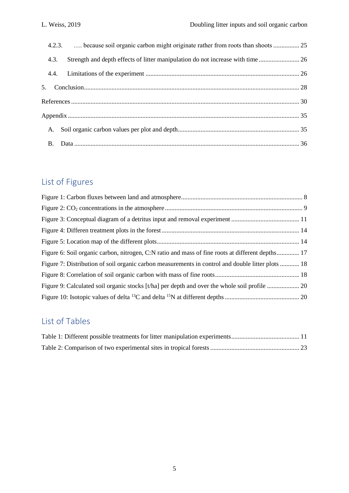|      | 4.2.3.  because soil organic carbon might originate rather from roots than shoots  25 |  |
|------|---------------------------------------------------------------------------------------|--|
| 4.3. | Strength and depth effects of litter manipulation do not increase with time 26        |  |
|      |                                                                                       |  |
|      |                                                                                       |  |
|      |                                                                                       |  |
|      |                                                                                       |  |
|      |                                                                                       |  |
|      |                                                                                       |  |

## List of Figures

| Figure 6: Soil organic carbon, nitrogen, C:N ratio and mass of fine roots at different depths 17  |  |
|---------------------------------------------------------------------------------------------------|--|
| Figure 7: Distribution of soil organic carbon measurements in control and double litter plots  18 |  |
|                                                                                                   |  |
|                                                                                                   |  |
|                                                                                                   |  |

## List of Tables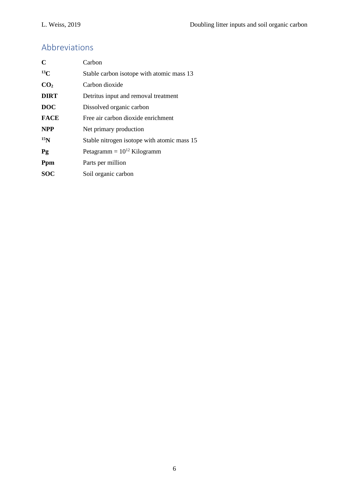## Abbreviations

| $\mathbf C$     | Carbon                                      |
|-----------------|---------------------------------------------|
| $^{13}C$        | Stable carbon isotope with atomic mass 13   |
| CO <sub>2</sub> | Carbon dioxide                              |
| <b>DIRT</b>     | Detritus input and removal treatment        |
| <b>DOC</b>      | Dissolved organic carbon                    |
| <b>FACE</b>     | Free air carbon dioxide enrichment          |
| <b>NPP</b>      | Net primary production                      |
| 15 <sub>N</sub> | Stable nitrogen isotope with atomic mass 15 |
| Pg              | Petagramm = $10^{12}$ Kilogramm             |
| Ppm             | Parts per million                           |
| <b>SOC</b>      | Soil organic carbon                         |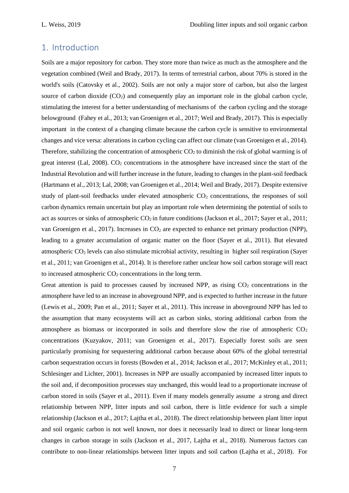### 1. Introduction

Soils are a major repository for carbon. They store more than twice as much as the atmosphere and the vegetation combined (Weil and Brady, 2017). In terms of terrestrial carbon, about 70% is stored in the world's soils (Catovsky et al., 2002). Soils are not only a major store of carbon, but also the largest source of carbon dioxide  $(CO_2)$  and consequently play an important role in the global carbon cycle, stimulating the interest for a better understanding of mechanisms of the carbon cycling and the storage belowground (Fahey et al., 2013; van Groenigen et al., 2017; Weil and Brady, 2017). This is especially important in the context of a changing climate because the carbon cycle is sensitive to environmental changes and vice versa: alterations in carbon cycling can affect our climate (van Groenigen et al., 2014). Therefore, stabilizing the concentration of atmospheric  $CO<sub>2</sub>$  to diminish the risk of global warming is of great interest (Lal, 2008).  $CO<sub>2</sub>$  concentrations in the atmosphere have increased since the start of the Industrial Revolution and will further increase in the future, leading to changes in the plant-soil feedback (Hartmann et al., 2013; Lal, 2008; van Groenigen et al., 2014; Weil and Brady, 2017). Despite extensive study of plant-soil feedbacks under elevated atmospheric  $CO<sub>2</sub>$  concentrations, the responses of soil carbon dynamics remain uncertain but play an important role when determining the potential of soils to act as sources or sinks of atmospheric  $CO_2$  in future conditions (Jackson et al., 2017; Sayer et al., 2011; van Groenigen et al., 2017). Increases in  $CO<sub>2</sub>$  are expected to enhance net primary production (NPP), leading to a greater accumulation of organic matter on the floor (Sayer et al., 2011). But elevated atmospheric CO<sup>2</sup> levels can also stimulate microbial activity, resulting in higher soil respiration (Sayer et al., 2011; van Groenigen et al., 2014). It is therefore rather unclear how soil carbon storage will react to increased atmospheric  $CO<sub>2</sub>$  concentrations in the long term.

Great attention is paid to processes caused by increased NPP, as rising  $CO<sub>2</sub>$  concentrations in the atmosphere have led to an increase in aboveground NPP, and is expected to further increase in the future (Lewis et al., 2009; Pan et al., 2011; Sayer et al., 2011). This increase in aboveground NPP has led to the assumption that many ecosystems will act as carbon sinks, storing additional carbon from the atmosphere as biomass or incorporated in soils and therefore slow the rise of atmospheric  $CO<sub>2</sub>$ concentrations (Kuzyakov, 2011; van Groenigen et al., 2017). Especially forest soils are seen particularly promising for sequestering additional carbon because about 60% of the global terrestrial carbon sequestration occurs in forests (Bowden et al., 2014; Jackson et al., 2017; McKinley et al., 2011; Schlesinger and Lichter, 2001). Increases in NPP are usually accompanied by increased litter inputs to the soil and, if decomposition processes stay unchanged, this would lead to a proportionate increase of carbon stored in soils (Sayer et al., 2011). Even if many models generally assume a strong and direct relationship between NPP, litter inputs and soil carbon, there is little evidence for such a simple relationship (Jackson et al., 2017; Lajtha et al., 2018). The direct relationship between plant litter input and soil organic carbon is not well known, nor does it necessarily lead to direct or linear long-term changes in carbon storage in soils (Jackson et al., 2017, Lajtha et al., 2018). Numerous factors can contribute to non-linear relationships between litter inputs and soil carbon (Lajtha et al., 2018). For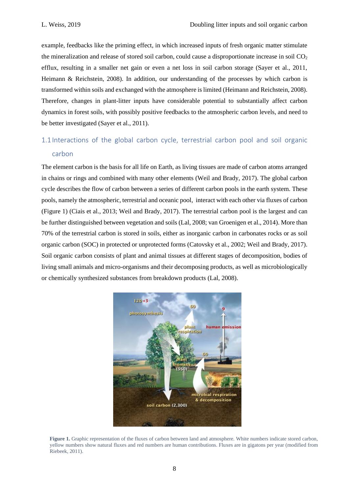example, feedbacks like the priming effect, in which increased inputs of fresh organic matter stimulate the mineralization and release of stored soil carbon, could cause a disproportionate increase in soil  $CO<sub>2</sub>$ efflux, resulting in a smaller net gain or even a net loss in soil carbon storage (Sayer et al., 2011, Heimann & Reichstein, 2008). In addition, our understanding of the processes by which carbon is transformed within soils and exchanged with the atmosphere is limited (Heimann and Reichstein, 2008). Therefore, changes in plant-litter inputs have considerable potential to substantially affect carbon dynamics in forest soils, with possibly positive feedbacks to the atmospheric carbon levels, and need to be better investigated (Sayer et al., 2011).

## 1.1 Interactions of the global carbon cycle, terrestrial carbon pool and soil organic carbon

The element carbon is the basis for all life on Earth, as living tissues are made of carbon atoms arranged in chains or rings and combined with many other elements (Weil and Brady, 2017). The global carbon cycle describes the flow of carbon between a series of different carbon pools in the earth system. These pools, namely the atmospheric, terrestrial and oceanic pool, interact with each other via fluxes of carbon (Figure 1) (Ciais et al., 2013; Weil and Brady, 2017). The terrestrial carbon pool is the largest and can be further distinguished between vegetation and soils (Lal, 2008; van Groenigen et al., 2014). More than 70% of the terrestrial carbon is stored in soils, either as inorganic carbon in carbonates rocks or as soil organic carbon (SOC) in protected or unprotected forms (Catovsky et al., 2002; Weil and Brady, 2017). Soil organic carbon consists of plant and animal tissues at different stages of decomposition, bodies of living small animals and micro-organisms and their decomposing products, as well as microbiologically or chemically synthesized substances from breakdown products (Lal, 2008).



**Figure 1.** Graphic representation of the fluxes of carbon between land and atmosphere. White numbers indicate stored carbon, yellow numbers show natural fluxes and red numbers are human contributions. Fluxes are in gigatons per year (modified from Riebeek, 2011).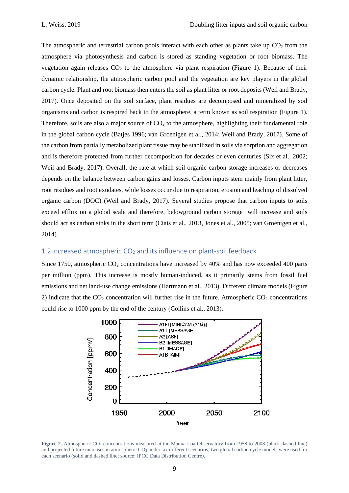The atmospheric and terrestrial carbon pools interact with each other as plants take up  $CO<sub>2</sub>$  from the atmosphere via photosynthesis and carbon is stored as standing vegetation or root biomass. The vegetation again releases  $CO<sub>2</sub>$  to the atmosphere via plant respiration (Figure 1). Because of their dynamic relationship, the atmospheric carbon pool and the vegetation are key players in the global carbon cycle. Plant and root biomass then enters the soil as plant litter or root deposits (Weil and Brady, 2017). Once deposited on the soil surface, plant residues are decomposed and mineralized by soil organisms and carbon is respired back to the atmosphere, a term known as soil respiration (Figure 1). Therefore, soils are also a major source of  $CO<sub>2</sub>$  to the atmosphere, highlighting their fundamental role in the global carbon cycle (Batjes 1996; van Groenigen et al., 2014; Weil and Brady, 2017). Some of the carbon from partially metabolized plant tissue may be stabilized in soils via sorption and aggregation and is therefore protected from further decomposition for decades or even centuries (Six et al., 2002; Weil and Brady, 2017). Overall, the rate at which soil organic carbon storage increases or decreases depends on the balance between carbon gains and losses. Carbon inputs stem mainly from plant litter, root residues and root exudates, while losses occur due to respiration, erosion and leaching of dissolved organic carbon (DOC) (Weil and Brady, 2017). Several studies propose that carbon inputs to soils exceed efflux on a global scale and therefore, belowground carbon storage will increase and soils should act as carbon sinks in the short term (Ciais et al., 2013, Jones et al., 2005; van Groenigen et al., 2014).

#### 1.2 Increased atmospheric  $CO<sub>2</sub>$  and its influence on plant-soil feedback

Since 1750, atmospheric  $CO_2$  concentrations have increased by 40% and has now exceeded 400 parts per million (ppm). This increase is mostly human-induced, as it primarily stems from fossil fuel emissions and net land-use change emissions (Hartmann et al., 2013). Different climate models (Figure 2) indicate that the  $CO<sub>2</sub>$  concentration will further rise in the future. Atmospheric  $CO<sub>2</sub>$  concentrations could rise to 1000 ppm by the end of the century (Collins et al., 2013).



**Figure 2.** Atmospheric CO<sub>2</sub> concentrations measured at the Mauna Loa Observatory from 1958 to 2008 (black dashed line) and projected future increases in atmospheric CO<sub>2</sub> under six different scenarios; two global carbon cycle models were used for each scenario (solid and dashed line; source: IPCC Data Distribution Centre).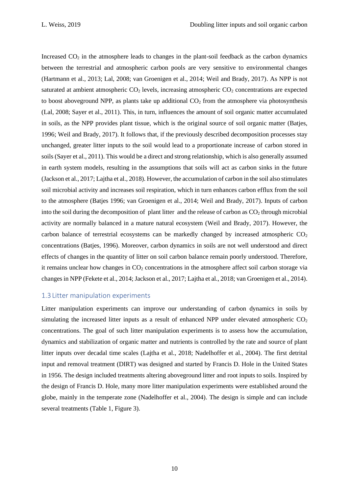Increased  $CO<sub>2</sub>$  in the atmosphere leads to changes in the plant-soil feedback as the carbon dynamics between the terrestrial and atmospheric carbon pools are very sensitive to environmental changes (Hartmann et al., 2013; Lal, 2008; van Groenigen et al., 2014; Weil and Brady, 2017). As NPP is not saturated at ambient atmospheric  $CO<sub>2</sub>$  levels, increasing atmospheric  $CO<sub>2</sub>$  concentrations are expected to boost aboveground NPP, as plants take up additional  $CO<sub>2</sub>$  from the atmosphere via photosynthesis (Lal, 2008; Sayer et al., 2011). This, in turn, influences the amount of soil organic matter accumulated in soils, as the NPP provides plant tissue, which is the original source of soil organic matter (Batjes, 1996; Weil and Brady, 2017). It follows that, if the previously described decomposition processes stay unchanged, greater litter inputs to the soil would lead to a proportionate increase of carbon stored in soils (Sayer et al., 2011). This would be a direct and strong relationship, which is also generally assumed in earth system models, resulting in the assumptions that soils will act as carbon sinks in the future (Jackson et al., 2017; Lajtha et al., 2018). However, the accumulation of carbon in the soil also stimulates soil microbial activity and increases soil respiration, which in turn enhances carbon efflux from the soil to the atmosphere (Batjes 1996; van Groenigen et al., 2014; Weil and Brady, 2017). Inputs of carbon into the soil during the decomposition of plant litter and the release of carbon as  $CO<sub>2</sub>$  through microbial activity are normally balanced in a mature natural ecosystem (Weil and Brady, 2017). However, the carbon balance of terrestrial ecosystems can be markedly changed by increased atmospheric  $CO<sub>2</sub>$ concentrations (Batjes, 1996). Moreover, carbon dynamics in soils are not well understood and direct effects of changes in the quantity of litter on soil carbon balance remain poorly understood. Therefore, it remains unclear how changes in  $CO<sub>2</sub>$  concentrations in the atmosphere affect soil carbon storage via changes in NPP (Fekete et al., 2014; Jackson et al., 2017; Lajtha et al., 2018; van Groenigen et al., 2014).

#### 1.3 Litter manipulation experiments

Litter manipulation experiments can improve our understanding of carbon dynamics in soils by simulating the increased litter inputs as a result of enhanced NPP under elevated atmospheric  $CO<sub>2</sub>$ concentrations. The goal of such litter manipulation experiments is to assess how the accumulation, dynamics and stabilization of organic matter and nutrients is controlled by the rate and source of plant litter inputs over decadal time scales (Lajtha et al., 2018; Nadelhoffer et al., 2004). The first detrital input and removal treatment (DIRT) was designed and started by Francis D. Hole in the United States in 1956. The design included treatments altering aboveground litter and root inputs to soils. Inspired by the design of Francis D. Hole, many more litter manipulation experiments were established around the globe, mainly in the temperate zone (Nadelhoffer et al., 2004). The design is simple and can include several treatments (Table 1, Figure 3).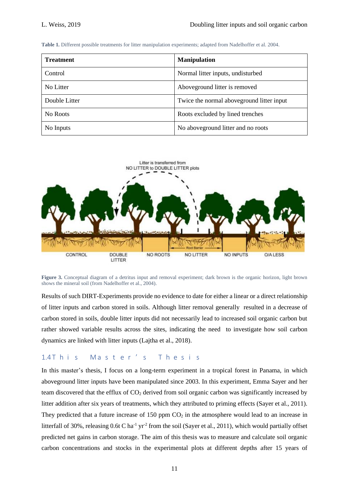**Table 1.** Different possible treatments for litter manipulation experiments; adapted from Nadelhoffer et al. 2004.

| <b>Treatment</b> | <b>Manipulation</b>                        |
|------------------|--------------------------------------------|
| Control          | Normal litter inputs, undisturbed          |
| No Litter        | Aboveground litter is removed              |
| Double Litter    | Twice the normal above ground litter input |
| No Roots         | Roots excluded by lined trenches           |
| No Inputs        | No above ground litter and no roots        |



**Figure 3.** Conceptual diagram of a detritus input and removal experiment; dark brown is the organic horizon, light brown shows the mineral soil (from Nadelhoffer et al., 2004).

Results of such DIRT-Experiments provide no evidence to date for either a linear or a direct relationship of litter inputs and carbon stored in soils. Although litter removal generally resulted in a decrease of carbon stored in soils, double litter inputs did not necessarily lead to increased soil organic carbon but rather showed variable results across the sites, indicating the need to investigate how soil carbon dynamics are linked with litter inputs (Lajtha et al., 2018).

#### 1.4 This Master's Thesis

In this master's thesis, I focus on a long-term experiment in a tropical forest in Panama, in which aboveground litter inputs have been manipulated since 2003. In this experiment, Emma Sayer and her team discovered that the efflux of  $CO<sub>2</sub>$  derived from soil organic carbon was significantly increased by litter addition after six years of treatments, which they attributed to priming effects (Sayer et al., 2011). They predicted that a future increase of 150 ppm  $CO<sub>2</sub>$  in the atmosphere would lead to an increase in litterfall of 30%, releasing 0.6t C ha<sup>-1</sup> yr<sup>-2</sup> from the soil (Sayer et al., 2011), which would partially offset predicted net gains in carbon storage. The aim of this thesis was to measure and calculate soil organic carbon concentrations and stocks in the experimental plots at different depths after 15 years of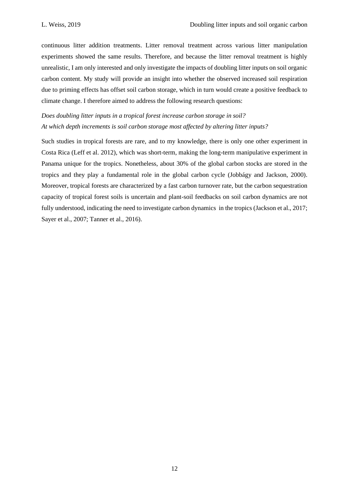continuous litter addition treatments. Litter removal treatment across various litter manipulation experiments showed the same results. Therefore, and because the litter removal treatment is highly unrealistic, I am only interested and only investigate the impacts of doubling litter inputs on soil organic carbon content. My study will provide an insight into whether the observed increased soil respiration due to priming effects has offset soil carbon storage, which in turn would create a positive feedback to climate change. I therefore aimed to address the following research questions:

*Does doubling litter inputs in a tropical forest increase carbon storage in soil? At which depth increments is soil carbon storage most affected by altering litter inputs?*

Such studies in tropical forests are rare, and to my knowledge, there is only one other experiment in Costa Rica (Leff et al. 2012), which was short-term, making the long-term manipulative experiment in Panama unique for the tropics. Nonetheless, about 30% of the global carbon stocks are stored in the tropics and they play a fundamental role in the global carbon cycle (Jobbágy and Jackson, 2000). Moreover, tropical forests are characterized by a fast carbon turnover rate, but the carbon sequestration capacity of tropical forest soils is uncertain and plant-soil feedbacks on soil carbon dynamics are not fully understood, indicating the need to investigate carbon dynamics in the tropics (Jackson et al., 2017; Sayer et al., 2007; Tanner et al., 2016).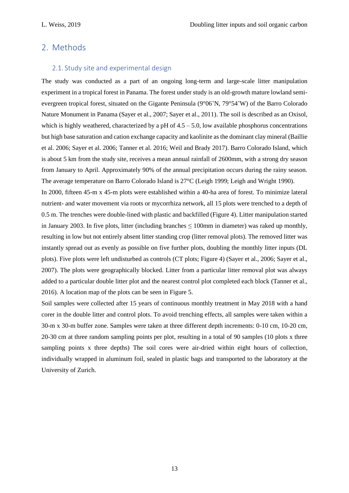### 2. Methods

#### 2.1. Study site and experimental design

The study was conducted as a part of an ongoing long-term and large-scale litter manipulation experiment in a tropical forest in Panama. The forest under study is an old-growth mature lowland semievergreen tropical forest, situated on the Gigante Peninsula (9°06'N, 79°54'W) of the Barro Colorado Nature Monument in Panama (Sayer et al., 2007; Sayer et al., 2011). The soil is described as an Oxisol, which is highly weathered, characterized by a pH of  $4.5 - 5.0$ , low available phosphorus concentrations but high base saturation and cation exchange capacity and kaolinite as the dominant clay mineral (Baillie et al. 2006; Sayer et al. 2006; Tanner et al. 2016; Weil and Brady 2017). Barro Colorado Island, which is about 5 km from the study site, receives a mean annual rainfall of 2600mm, with a strong dry season from January to April. Approximately 90% of the annual precipitation occurs during the rainy season. The average temperature on Barro Colorado Island is 27°C (Leigh 1999; Leigh and Wright 1990).

In 2000, fifteen 45-m x 45-m plots were established within a 40-ha area of forest. To minimize lateral nutrient- and water movement via roots or mycorrhiza network, all 15 plots were trenched to a depth of 0.5 m. The trenches were double-lined with plastic and backfilled (Figure 4). Litter manipulation started in January 2003. In five plots, litter (including branches  $\leq 100$ mm in diameter) was raked up monthly, resulting in low but not entirely absent litter standing crop (litter removal plots). The removed litter was instantly spread out as evenly as possible on five further plots, doubling the monthly litter inputs (DL plots). Five plots were left undisturbed as controls (CT plots; Figure 4) (Sayer et al., 2006; Sayer et al., 2007). The plots were geographically blocked. Litter from a particular litter removal plot was always added to a particular double litter plot and the nearest control plot completed each block (Tanner et al., 2016). A location map of the plots can be seen in Figure 5.

Soil samples were collected after 15 years of continuous monthly treatment in May 2018 with a hand corer in the double litter and control plots. To avoid trenching effects, all samples were taken within a 30-m x 30-m buffer zone. Samples were taken at three different depth increments: 0-10 cm, 10-20 cm, 20-30 cm at three random sampling points per plot, resulting in a total of 90 samples (10 plots x three sampling points x three depths) The soil cores were air-dried within eight hours of collection, individually wrapped in aluminum foil, sealed in plastic bags and transported to the laboratory at the University of Zurich.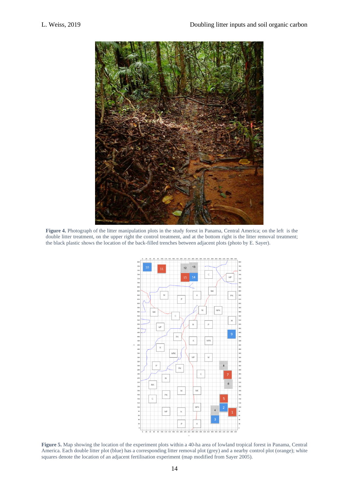

**Figure 4.** Photograph of the litter manipulation plots in the study forest in Panama, Central America; on the left is the double litter treatment, on the upper right the control treatment, and at the bottom right is the litter removal treatment; the black plastic shows the location of the back-filled trenches between adjacent plots (photo by E. Sayer).



**Figure 5.** Map showing the location of the experiment plots within a 40-ha area of lowland tropical forest in Panama, Central America. Each double litter plot (blue) has a corresponding litter removal plot (grey) and a nearby control plot (orange); white squares denote the location of an adjacent fertilisation experiment (map modified from Sayer 2005).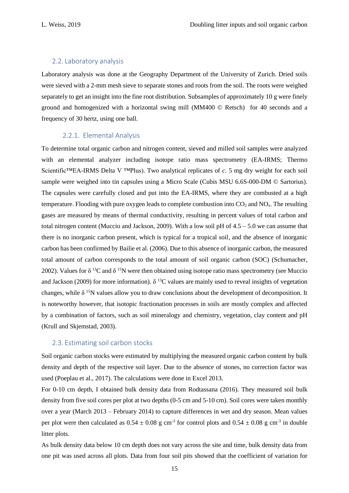#### 2.2. Laboratory analysis

Laboratory analysis was done at the Geography Department of the University of Zurich. Dried soils were sieved with a 2-mm mesh sieve to separate stones and roots from the soil. The roots were weighed separately to get an insight into the fine root distribution. Subsamples of approximately 10 g were finely ground and homogenized with a horizontal swing mill (MM400 © Retsch) for 40 seconds and a frequency of 30 hertz, using one ball.

#### 2.2.1. Elemental Analysis

To determine total organic carbon and nitrogen content, sieved and milled soil samples were analyzed with an elemental analyzer including isotope ratio mass spectrometry (EA-IRMS; Thermo Scientific™EA-IRMS Delta V ™Plus). Two analytical replicates of *c.* 5 mg dry weight for each soil sample were weighed into tin capsules using a Micro Scale (Cubis MSU 6.6S-000-DM © Sartorius). The capsules were carefully closed and put into the EA-IRMS, where they are combusted at a high temperature. Flooding with pure oxygen leads to complete combustion into  $CO<sub>2</sub>$  and  $NO<sub>x</sub>$ . The resulting gases are measured by means of thermal conductivity, resulting in percent values of total carbon and total nitrogen content (Muccio and Jackson, 2009). With a low soil pH of  $4.5 - 5.0$  we can assume that there is no inorganic carbon present, which is typical for a tropical soil, and the absence of inorganic carbon has been confirmed by Bailie et al. (2006). Due to this absence of inorganic carbon, the measured total amount of carbon corresponds to the total amount of soil organic carbon (SOC) (Schumacher, 2002). Values for  $\delta^{13}C$  and  $\delta^{15}N$  were then obtained using isotope ratio mass spectrometry (see Muccio and Jackson (2009) for more information).  $\delta$  <sup>13</sup>C values are mainly used to reveal insights of vegetation changes, while  $\delta$ <sup>15</sup>N values allow you to draw conclusions about the development of decomposition. It is noteworthy however, that isotopic fractionation processes in soils are mostly complex and affected by a combination of factors, such as soil mineralogy and chemistry, vegetation, clay content and pH (Krull and Skjemstad, 2003).

#### 2.3. Estimating soil carbon stocks

Soil organic carbon stocks were estimated by multiplying the measured organic carbon content by bulk density and depth of the respective soil layer. Due to the absence of stones, no correction factor was used (Poeplau et al., 2017). The calculations were done in Excel 2013.

For 0-10 cm depth, I obtained bulk density data from Rodtassana (2016). They measured soil bulk density from five soil cores per plot at two depths (0-5 cm and 5-10 cm). Soil cores were taken monthly over a year (March 2013 – February 2014) to capture differences in wet and dry season. Mean values per plot were then calculated as  $0.54 \pm 0.08$  g cm<sup>-3</sup> for control plots and  $0.54 \pm 0.08$  g cm<sup>-3</sup> in double litter plots.

As bulk density data below 10 cm depth does not vary across the site and time, bulk density data from one pit was used across all plots. Data from four soil pits showed that the coefficient of variation for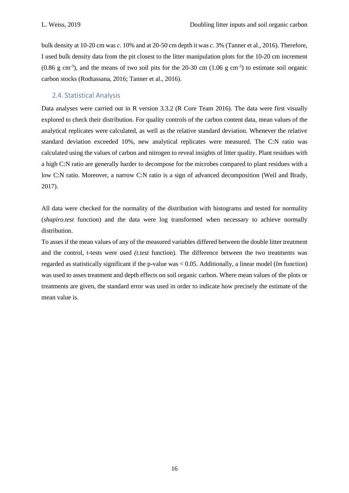bulk density at 10-20 cm was *c*. 10% and at 20-50 cm depth it was *c*. 3% (Tanner et al., 2016). Therefore, I used bulk density data from the pit closest to the litter manipulation plots for the 10-20 cm increment  $(0.86 \text{ g cm}^{-3})$ , and the means of two soil pits for the 20-30 cm  $(1.06 \text{ g cm}^{-3})$  to estimate soil organic carbon stocks (Rodtassana, 2016; Tanner et al., 2016).

#### 2.4. Statistical Analysis

Data analyses were carried out in R version 3.3.2 (R Core Team 2016). The data were first visually explored to check their distribution. For quality controls of the carbon content data, mean values of the analytical replicates were calculated, as well as the relative standard deviation. Whenever the relative standard deviation exceeded 10%, new analytical replicates were measured. The C:N ratio was calculated using the values of carbon and nitrogen to reveal insights of litter quality. Plant residues with a high C:N ratio are generally harder to decompose for the microbes compared to plant residues with a low C:N ratio. Moreover, a narrow C:N ratio is a sign of advanced decomposition (Weil and Brady, 2017).

All data were checked for the normality of the distribution with histograms and tested for normality (*shapiro.test* function) and the data were log transformed when necessary to achieve normally distribution.

To asses if the mean values of any of the measured variables differed between the double litter treatment and the control, t-tests were used *(t.test* function). The difference between the two treatments was regarded as statistically significant if the p-value was < 0.05. Additionally, a linear model (*lm* function) was used to asses treatment and depth effects on soil organic carbon. Where mean values of the plots or treatments are given, the standard error was used in order to indicate how precisely the estimate of the mean value is.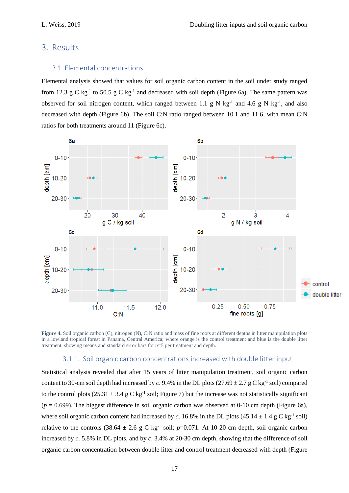### 3. Results

#### 3.1. Elemental concentrations

Elemental analysis showed that values for soil organic carbon content in the soil under study ranged from 12.3 g C kg<sup>-1</sup> to 50.5 g C kg<sup>-1</sup> and decreased with soil depth (Figure 6a). The same pattern was observed for soil nitrogen content, which ranged between 1.1 g N kg<sup>-1</sup> and 4.6 g N kg<sup>-1</sup>, and also decreased with depth (Figure 6b). The soil C:N ratio ranged between 10.1 and 11.6, with mean C:N ratios for both treatments around 11 (Figure 6c).



**Figure 4.** Soil organic carbon (C), nitrogen (N), C:N ratio and mass of fine roots at different depths in litter manipulation plots in a lowland tropical forest in Panama, Central America; where orange is the control treatment and blue is the double litter treatment, showing means and standard error bars for *n*=5 per treatment and depth.

#### 3.1.1. Soil organic carbon concentrations increased with double litter input

Statistical analysis revealed that after 15 years of litter manipulation treatment, soil organic carbon content to 30-cm soil depth had increased by *c*. 9.4% in the DL plots  $(27.69 \pm 2.7 \text{ g C kg}^{-1} \text{ soil})$  compared to the control plots  $(25.31 \pm 3.4 \text{ g C kg}^{-1} \text{ soil};$  Figure 7) but the increase was not statistically significant  $(p = 0.699)$ . The biggest difference in soil organic carbon was observed at 0-10 cm depth (Figure 6a), where soil organic carbon content had increased by *c*. 16.8% in the DL plots  $(45.14 \pm 1.4 \text{ g C kg}^{-1} )$  soil) relative to the controls  $(38.64 \pm 2.6 \text{ g C kg}^{-1} \text{ soil}; p=0.071$ . At 10-20 cm depth, soil organic carbon increased by *c*. 5.8% in DL plots, and by *c*. 3.4% at 20-30 cm depth, showing that the difference of soil organic carbon concentration between double litter and control treatment decreased with depth (Figure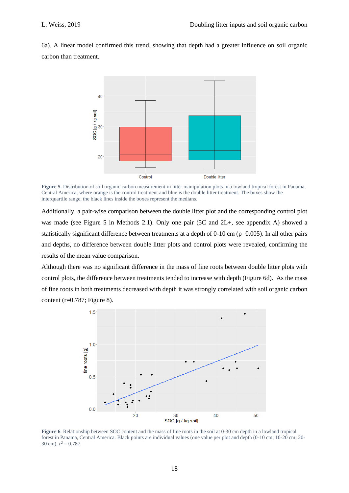6a). A linear model confirmed this trend, showing that depth had a greater influence on soil organic carbon than treatment.



**Figure 5.** Distribution of soil organic carbon measurement in litter manipulation plots in a lowland tropical forest in Panama, Central America; where orange is the control treatment and blue is the double litter treatment. The boxes show the interquartile range, the black lines inside the boxes represent the medians.

Additionally, a pair-wise comparison between the double litter plot and the corresponding control plot was made (see Figure 5 in Methods 2.1). Only one pair (5C and 2L+, see appendix A) showed a statistically significant difference between treatments at a depth of 0-10 cm (p=0.005). In all other pairs and depths, no difference between double litter plots and control plots were revealed, confirming the results of the mean value comparison.

Although there was no significant difference in the mass of fine roots between double litter plots with control plots, the difference between treatments tended to increase with depth (Figure 6d). As the mass of fine roots in both treatments decreased with depth it was strongly correlated with soil organic carbon content ( $r=0.787$ ; Figure 8).



**Figure 6**. Relationship between SOC content and the mass of fine roots in the soil at 0-30 cm depth in a lowland tropical forest in Panama, Central America. Black points are individual values (one value per plot and depth (0-10 cm; 10-20 cm; 20- 30 cm),  $r^2 = 0.787$ .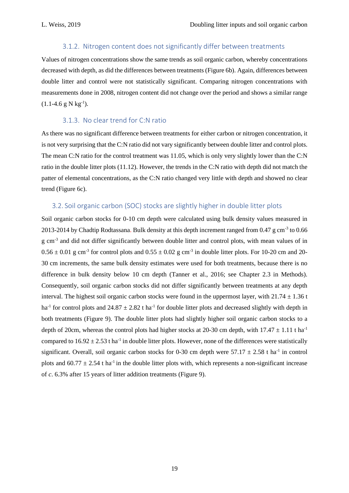#### 3.1.2. Nitrogen content does not significantly differ between treatments

Values of nitrogen concentrations show the same trends as soil organic carbon, whereby concentrations decreased with depth, as did the differences between treatments (Figure 6b). Again, differences between double litter and control were not statistically significant. Comparing nitrogen concentrations with measurements done in 2008, nitrogen content did not change over the period and shows a similar range  $(1.1-4.6 \text{ g N kg}^{-1}).$ 

### 3.1.3. No clear trend for C:N ratio

As there was no significant difference between treatments for either carbon or nitrogen concentration, it is not very surprising that the C:N ratio did not vary significantly between double litter and control plots. The mean C:N ratio for the control treatment was 11.05, which is only very slightly lower than the C:N ratio in the double litter plots (11.12). However, the trends in the C:N ratio with depth did not match the patter of elemental concentrations, as the C:N ratio changed very little with depth and showed no clear trend (Figure 6c).

#### 3.2. Soil organic carbon (SOC) stocks are slightly higher in double litter plots

Soil organic carbon stocks for 0-10 cm depth were calculated using bulk density values measured in 2013-2014 by Chadtip Rodtassana. Bulk density at this depth increment ranged from 0.47 g cm<sup>-3</sup> to 0.66 g cm<sup>-3</sup> and did not differ significantly between double litter and control plots, with mean values of in  $0.56 \pm 0.01$  g cm<sup>-3</sup> for control plots and  $0.55 \pm 0.02$  g cm<sup>-3</sup> in double litter plots. For 10-20 cm and 20-30 cm increments, the same bulk density estimates were used for both treatments, because there is no difference in bulk density below 10 cm depth (Tanner et al., 2016; see Chapter 2.3 in Methods). Consequently, soil organic carbon stocks did not differ significantly between treatments at any depth interval. The highest soil organic carbon stocks were found in the uppermost layer, with  $21.74 \pm 1.36$  t ha<sup>-1</sup> for control plots and  $24.87 \pm 2.82$  t ha<sup>-1</sup> for double litter plots and decreased slightly with depth in both treatments (Figure 9). The double litter plots had slightly higher soil organic carbon stocks to a depth of 20cm, whereas the control plots had higher stocks at 20-30 cm depth, with  $17.47 \pm 1.11$  t ha<sup>-1</sup> compared to  $16.92 \pm 2.53$  t ha<sup>-1</sup> in double litter plots. However, none of the differences were statistically significant. Overall, soil organic carbon stocks for 0-30 cm depth were  $57.17 \pm 2.58$  t ha<sup>-1</sup> in control plots and  $60.77 \pm 2.54$  t ha<sup>-1</sup> in the double litter plots with, which represents a non-significant increase of *c*. 6.3% after 15 years of litter addition treatments (Figure 9).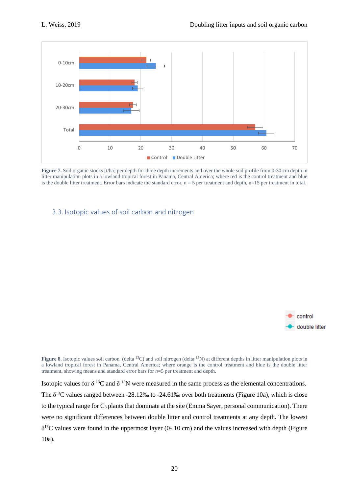

**Figure 7.** Soil organic stocks [t/ha] per depth for three depth increments and over the whole soil profile from 0-30 cm depth in litter manipulation plots in a lowland tropical forest in Panama, Central America; where red is the control treatment and blue is the double litter treatment. Error bars indicate the standard error,  $n = 5$  per treatment and depth,  $n=15$  per treatment in total.

#### 3.3. Isotopic values of soil carbon and nitrogen



**Figure 8**. Isotopic values soil carbon (delta <sup>13</sup>C) and soil nitrogen (delta <sup>15</sup>N) at different depths in litter manipulation plots in a lowland tropical forest in Panama, Central America; where orange is the control treatment and blue is the double litter treatment, showing means and standard error bars for *n*=5 per treatment and depth.

Isotopic values for  $\delta$  <sup>13</sup>C and  $\delta$  <sup>15</sup>N were measured in the same process as the elemental concentrations. The  $\delta^{13}$ C values ranged between -28.12‰ to -24.61‰ over both treatments (Figure 10a), which is close to the typical range for  $C_3$  plants that dominate at the site (Emma Sayer, personal communication). There were no significant differences between double litter and control treatments at any depth. The lowest  $\delta^{13}$ C values were found in the uppermost layer (0- 10 cm) and the values increased with depth (Figure 10a).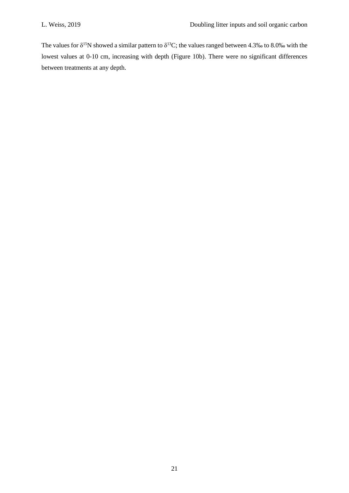The values for  $\delta^{15}N$  showed a similar pattern to  $\delta^{13}C$ ; the values ranged between 4.3‰ to 8.0‰ with the lowest values at 0-10 cm, increasing with depth (Figure 10b). There were no significant differences between treatments at any depth.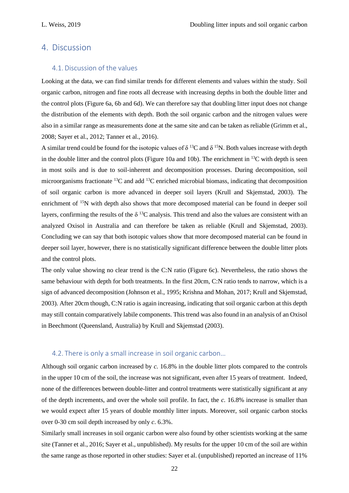#### 4. Discussion

#### 4.1. Discussion of the values

Looking at the data, we can find similar trends for different elements and values within the study. Soil organic carbon, nitrogen and fine roots all decrease with increasing depths in both the double litter and the control plots (Figure 6a, 6b and 6d). We can therefore say that doubling litter input does not change the distribution of the elements with depth. Both the soil organic carbon and the nitrogen values were also in a similar range as measurements done at the same site and can be taken as reliable (Grimm et al., 2008; Sayer et al., 2012; Tanner et al., 2016).

A similar trend could be found for the isotopic values of  $\delta^{13}C$  and  $\delta^{15}N$ . Both values increase with depth in the double litter and the control plots (Figure 10a and 10b). The enrichment in  $^{13}$ C with depth is seen in most soils and is due to soil-inherent and decomposition processes. During decomposition, soil microorganisms fractionate  $^{13}$ C and add  $^{13}$ C enriched microbial biomass, indicating that decomposition of soil organic carbon is more advanced in deeper soil layers (Krull and Skjemstad, 2003). The enrichment of <sup>15</sup>N with depth also shows that more decomposed material can be found in deeper soil layers, confirming the results of the  $\delta^{13}C$  analysis. This trend and also the values are consistent with an analyzed Oxisol in Australia and can therefore be taken as reliable (Krull and Skjemstad, 2003). Concluding we can say that both isotopic values show that more decomposed material can be found in deeper soil layer, however, there is no statistically significant difference between the double litter plots and the control plots.

The only value showing no clear trend is the C:N ratio (Figure 6c). Nevertheless, the ratio shows the same behaviour with depth for both treatments. In the first 20cm, C:N ratio tends to narrow, which is a sign of advanced decomposition (Johnson et al., 1995; Krishna and Mohan, 2017; Krull and Skjemstad, 2003). After 20cm though, C:N ratio is again increasing, indicating that soil organic carbon at this depth may still contain comparatively labile components. This trend was also found in an analysis of an Oxisol in Beechmont (Queensland, Australia) by Krull and Skjemstad (2003).

#### 4.2. There is only a small increase in soil organic carbon...

Although soil organic carbon increased by *c.* 16.8% in the double litter plots compared to the controls in the upper 10 cm of the soil, the increase was not significant, even after 15 years of treatment. Indeed, none of the differences between double-litter and control treatments were statistically significant at any of the depth increments, and over the whole soil profile. In fact, the *c.* 16.8% increase is smaller than we would expect after 15 years of double monthly litter inputs. Moreover, soil organic carbon stocks over 0-30 cm soil depth increased by only *c*. 6.3%.

Similarly small increases in soil organic carbon were also found by other scientists working at the same site (Tanner et al., 2016; Sayer et al., unpublished). My results for the upper 10 cm of the soil are within the same range as those reported in other studies: Sayer et al. (unpublished) reported an increase of 11%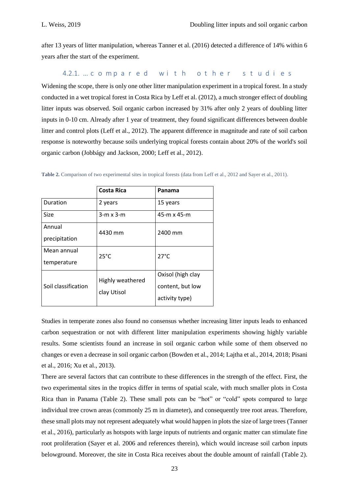after 13 years of litter manipulation, whereas Tanner et al. (2016) detected a difference of 14% within 6 years after the start of the experiment.

4.2.1. ͙ĐŽŵƉĂƌĞĚǁŝƚŚŽƚŚĞƌƐƚƵĚŝĞƐ

Widening the scope, there is only one other litter manipulation experiment in a tropical forest. In a study conducted in a wet tropical forest in Costa Rica by Leff et al. (2012), a much stronger effect of doubling litter inputs was observed. Soil organic carbon increased by 31% after only 2 years of doubling litter inputs in 0-10 cm. Already after 1 year of treatment, they found significant differences between double litter and control plots (Leff et al., 2012). The apparent difference in magnitude and rate of soil carbon response is noteworthy because soils underlying tropical forests contain about 20% of the world's soil organic carbon (Jobbágy and Jackson, 2000; Leff et al., 2012).

|                     | <b>Costa Rica</b> | Panama            |  |  |
|---------------------|-------------------|-------------------|--|--|
| Duration            | 2 years           | 15 years          |  |  |
| <b>Size</b>         | $3-m \times 3-m$  | 45-m x 45-m       |  |  |
| Annual              | 4430 mm           | 2400 mm           |  |  |
| precipitation       |                   |                   |  |  |
| Mean annual         | $25^{\circ}$ C    | $27^{\circ}$ C    |  |  |
| temperature         |                   |                   |  |  |
|                     | Highly weathered  | Oxisol (high clay |  |  |
| Soil classification | clay Utisol       | content, but low  |  |  |
|                     |                   | activity type)    |  |  |

**Table 2.** Comparison of two experimental sites in tropical forests (data from Leff et al., 2012 and Sayer et al., 2011).

Studies in temperate zones also found no consensus whether increasing litter inputs leads to enhanced carbon sequestration or not with different litter manipulation experiments showing highly variable results. Some scientists found an increase in soil organic carbon while some of them observed no changes or even a decrease in soil organic carbon (Bowden et al., 2014; Lajtha et al., 2014, 2018; Pisani et al., 2016; Xu et al., 2013).

There are several factors that can contribute to these differences in the strength of the effect. First, the two experimental sites in the tropics differ in terms of spatial scale, with much smaller plots in Costa Rica than in Panama (Table 2). These small pots can be "hot" or "cold" spots compared to large individual tree crown areas (commonly 25 m in diameter), and consequently tree root areas. Therefore, these small plots may not represent adequately what would happen in plots the size of large trees (Tanner et al., 2016), particularly as hotspots with large inputs of nutrients and organic matter can stimulate fine root proliferation (Sayer et al. 2006 and references therein), which would increase soil carbon inputs belowground. Moreover, the site in Costa Rica receives about the double amount of rainfall (Table 2).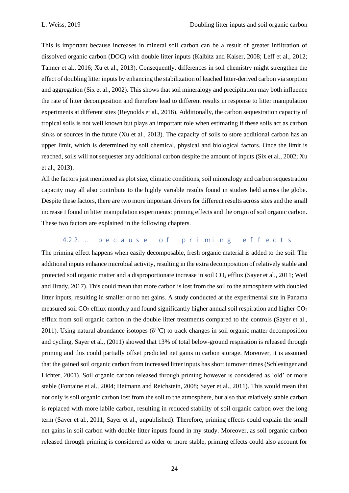This is important because increases in mineral soil carbon can be a result of greater infiltration of dissolved organic carbon (DOC) with double litter inputs (Kalbitz and Kaiser, 2008; Leff et al., 2012; Tanner et al., 2016; Xu et al., 2013). Consequently, differences in soil chemistry might strengthen the effect of doubling litter inputs by enhancing the stabilization of leached litter-derived carbon via sorption and aggregation (Six et al., 2002). This shows that soil mineralogy and precipitation may both influence the rate of litter decomposition and therefore lead to different results in response to litter manipulation experiments at different sites (Reynolds et al., 2018). Additionally, the carbon sequestration capacity of tropical soils is not well known but plays an important role when estimating if these soils act as carbon sinks or sources in the future (Xu et al., 2013). The capacity of soils to store additional carbon has an upper limit, which is determined by soil chemical, physical and biological factors. Once the limit is reached, soils will not sequester any additional carbon despite the amount of inputs (Six et al., 2002; Xu et al., 2013).

All the factors just mentioned as plot size, climatic conditions, soil mineralogy and carbon sequestration capacity may all also contribute to the highly variable results found in studies held across the globe. Despite these factors, there are two more important drivers for different results across sites and the small increase I found in litter manipulation experiments: priming effects and the origin of soil organic carbon. These two factors are explained in the following chapters.

#### 4.2.2. ... because of priming effects

The priming effect happens when easily decomposable, fresh organic material is added to the soil. The additional inputs enhance microbial activity, resulting in the extra decomposition of relatively stable and protected soil organic matter and a disproportionate increase in soil CO<sup>2</sup> efflux (Sayer et al., 2011; Weil and Brady, 2017). This could mean that more carbon is lost from the soil to the atmosphere with doubled litter inputs, resulting in smaller or no net gains. A study conducted at the experimental site in Panama measured soil  $CO<sub>2</sub>$  efflux monthly and found significantly higher annual soil respiration and higher  $CO<sub>2</sub>$ efflux from soil organic carbon in the double litter treatments compared to the controls (Sayer et al., 2011). Using natural abundance isotopes  $(\delta^{13}C)$  to track changes in soil organic matter decomposition and cycling, Sayer et al., (2011) showed that 13% of total below-ground respiration is released through priming and this could partially offset predicted net gains in carbon storage. Moreover, it is assumed that the gained soil organic carbon from increased litter inputs has short turnover times (Schlesinger and Lichter, 2001). Soil organic carbon released through priming however is considered as 'old' or more stable (Fontaine et al., 2004; Heimann and Reichstein, 2008; Sayer et al., 2011). This would mean that not only is soil organic carbon lost from the soil to the atmosphere, but also that relatively stable carbon is replaced with more labile carbon, resulting in reduced stability of soil organic carbon over the long term (Sayer et al., 2011; Sayer et al., unpublished). Therefore, priming effects could explain the small net gains in soil carbon with double litter inputs found in my study. Moreover, as soil organic carbon released through priming is considered as older or more stable, priming effects could also account for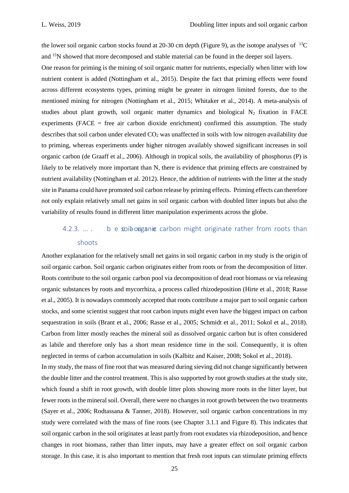the lower soil organic carbon stocks found at 20-30 cm depth (Figure 9), as the isotope analyses of <sup>13</sup>C and <sup>15</sup>N showed that more decomposed and stable material can be found in the deeper soil layers.

One reason for priming is the mining of soil organic matter for nutrients, especially when litter with low nutrient content is added (Nottingham et al., 2015). Despite the fact that priming effects were found across different ecosystems types, priming might be greater in nitrogen limited forests, due to the mentioned mining for nitrogen (Nottingham et al., 2015; Whitaker et al., 2014). A meta-analysis of studies about plant growth, soil organic matter dynamics and biological  $N_2$  fixation in FACE experiments (FACE  $=$  free air carbon dioxide enrichment) confirmed this assumption. The study describes that soil carbon under elevated  $CO<sub>2</sub>$  was unaffected in soils with low nitrogen availability due to priming, whereas experiments under higher nitrogen availably showed significant increases in soil organic carbon (de Graaff et al., 2006). Although in tropical soils, the availability of phosphorus (P) is likely to be relatively more important than N, there is evidence that priming effects are constrained by nutrient availability (Nottingham et al. 2012). Hence, the addition of nutrients with the litter at the study site in Panama could have promoted soil carbon release by priming effects. Priming effects can therefore not only explain relatively small net gains in soil organic carbon with doubled litter inputs but also the variability of results found in different litter manipulation experiments across the globe.

## 4.2.3.  $\dots$  b e soil ouganic carbon might originate rather from roots than shoots

Another explanation for the relatively small net gains in soil organic carbon in my study is the origin of soil organic carbon. Soil organic carbon originates either from roots or from the decomposition of litter. Roots contribute to the soil organic carbon pool via decomposition of dead root biomass or via releasing organic substances by roots and mycorrhiza, a process called rhizodeposition (Hirte et al., 2018; Rasse et al., 2005). It is nowadays commonly accepted that roots contribute a major part to soil organic carbon stocks, and some scientist suggest that root carbon inputs might even have the biggest impact on carbon sequestration in soils (Brant et al., 2006; Rasse et al., 2005; Schmidt et al., 2011; Sokol et al., 2018). Carbon from litter mostly reaches the mineral soil as dissolved organic carbon but is often considered as labile and therefore only has a short mean residence time in the soil. Consequently, it is often neglected in terms of carbon accumulation in soils (Kalbitz and Kaiser, 2008; Sokol et al., 2018).

In my study, the mass of fine root that was measured during sieving did not change significantly between the double litter and the control treatment. This is also supported by root growth studies at the study site, which found a shift in root growth, with double litter plots showing more roots in the litter layer, but fewer roots in the mineral soil. Overall, there were no changes in root growth between the two treatments (Sayer et al., 2006; Rodtassana & Tanner, 2018). However, soil organic carbon concentrations in my study were correlated with the mass of fine roots (see Chapter 3.1.1 and Figure 8). This indicates that soil organic carbon in the soil originates at least partly from root exudates via rhizodeposition, and hence changes in root biomass, rather than litter inputs, may have a greater effect on soil organic carbon storage. In this case, it is also important to mention that fresh root inputs can stimulate priming effects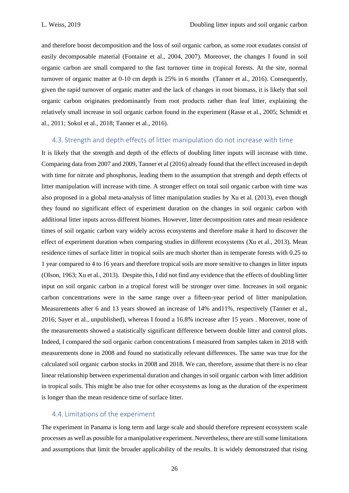and therefore boost decomposition and the loss of soil organic carbon, as some root exudates consist of easily decomposable material (Fontaine et al., 2004, 2007). Moreover, the changes I found in soil organic carbon are small compared to the fast turnover time in tropical forests. At the site, normal turnover of organic matter at 0-10 cm depth is 25% in 6 months (Tanner et al., 2016). Consequently, given the rapid turnover of organic matter and the lack of changes in root biomass, it is likely that soil organic carbon originates predominantly from root products rather than leaf litter, explaining the relatively small increase in soil organic carbon found in the experiment (Rasse et al., 2005; Schmidt et al., 2011; Sokol et al., 2018; Tanner et al., 2016).

#### 4.3. Strength and depth effects of litter manipulation do not increase with time

It is likely that the strength and depth of the effects of doubling litter inputs will increase with time. Comparing data from 2007 and 2009, Tanner et al (2016) already found that the effect increased in depth with time for nitrate and phosphorus, leading them to the assumption that strength and depth effects of litter manipulation will increase with time. A stronger effect on total soil organic carbon with time was also proposed in a global meta-analysis of litter manipulation studies by Xu et al. (2013), even though they found no significant effect of experiment duration on the changes in soil organic carbon with additional litter inputs across different biomes. However, litter decomposition rates and mean residence times of soil organic carbon vary widely across ecosystems and therefore make it hard to discover the effect of experiment duration when comparing studies in different ecosystems (Xu et al., 2013). Mean residence times of surface litter in tropical soils are much shorter than in temperate forests with 0.25 to 1 year compared to 4 to 16 years and therefore tropical soils are more sensitive to changes in litter inputs (Olson, 1963; Xu et al., 2013). Despite this, I did not find any evidence that the effects of doubling litter input on soil organic carbon in a tropical forest will be stronger over time. Increases in soil organic carbon concentrations were in the same range over a fifteen-year period of litter manipulation. Measurements after 6 and 13 years showed an increase of 14% and11%, respectively (Tanner et al., 2016; Sayer et al., unpublished), whereas I found a 16.8% increase after 15 years . Moreover, none of the measurements showed a statistically significant difference between double litter and control plots. Indeed, I compared the soil organic carbon concentrations I measured from samples taken in 2018 with measurements done in 2008 and found no statistically relevant differences. The same was true for the calculated soil organic carbon stocks in 2008 and 2018. We can, therefore, assume that there is no clear linear relationship between experimental duration and changes in soil organic carbon with litter addition in tropical soils. This might be also true for other ecosystems as long as the duration of the experiment is longer than the mean residence time of surface litter.

#### 4.4. Limitations of the experiment

The experiment in Panama is long term and large scale and should therefore represent ecosystem scale processes as well as possible for a manipulative experiment. Nevertheless, there are still some limitations and assumptions that limit the broader applicability of the results. It is widely demonstrated that rising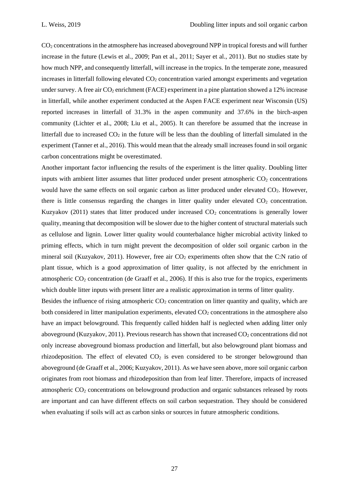CO<sup>2</sup> concentrations in the atmosphere has increased aboveground NPP in tropical forests and will further increase in the future (Lewis et al., 2009; Pan et al., 2011; Sayer et al., 2011). But no studies state by how much NPP, and consequently litterfall, will increase in the tropics. In the temperate zone, measured increases in litterfall following elevated CO<sub>2</sub> concentration varied amongst experiments and vegetation under survey. A free air  $CO<sub>2</sub>$  enrichment (FACE) experiment in a pine plantation showed a 12% increase in litterfall, while another experiment conducted at the Aspen FACE experiment near Wisconsin (US) reported increases in litterfall of 31.3% in the aspen community and 37.6% in the birch-aspen community (Lichter et al., 2008; Liu et al., 2005). It can therefore be assumed that the increase in litterfall due to increased  $CO<sub>2</sub>$  in the future will be less than the doubling of litterfall simulated in the experiment (Tanner et al., 2016). This would mean that the already small increases found in soil organic carbon concentrations might be overestimated.

Another important factor influencing the results of the experiment is the litter quality. Doubling litter inputs with ambient litter assumes that litter produced under present atmospheric  $CO<sub>2</sub>$  concentrations would have the same effects on soil organic carbon as litter produced under elevated CO<sub>2</sub>. However, there is little consensus regarding the changes in litter quality under elevated  $CO<sub>2</sub>$  concentration. Kuzyakov (2011) states that litter produced under increased  $CO<sub>2</sub>$  concentrations is generally lower quality, meaning that decomposition will be slower due to the higher content of structural materials such as cellulose and lignin. Lower litter quality would counterbalance higher microbial activity linked to priming effects, which in turn might prevent the decomposition of older soil organic carbon in the mineral soil (Kuzyakov, 2011). However, free air  $CO<sub>2</sub>$  experiments often show that the C:N ratio of plant tissue, which is a good approximation of litter quality, is not affected by the enrichment in atmospheric  $CO<sub>2</sub>$  concentration (de Graaff et al., 2006). If this is also true for the tropics, experiments which double litter inputs with present litter are a realistic approximation in terms of litter quality.

Besides the influence of rising atmospheric  $CO<sub>2</sub>$  concentration on litter quantity and quality, which are both considered in litter manipulation experiments, elevated  $CO<sub>2</sub>$  concentrations in the atmosphere also have an impact belowground. This frequently called hidden half is neglected when adding litter only aboveground (Kuzyakov, 2011). Previous research has shown that increased CO<sub>2</sub> concentrations did not only increase aboveground biomass production and litterfall, but also belowground plant biomass and rhizodeposition. The effect of elevated  $CO<sub>2</sub>$  is even considered to be stronger belowground than aboveground (de Graaff et al., 2006; Kuzyakov, 2011). As we have seen above, more soil organic carbon originates from root biomass and rhizodeposition than from leaf litter. Therefore, impacts of increased atmospheric CO<sup>2</sup> concentrations on belowground production and organic substances released by roots are important and can have different effects on soil carbon sequestration. They should be considered when evaluating if soils will act as carbon sinks or sources in future atmospheric conditions.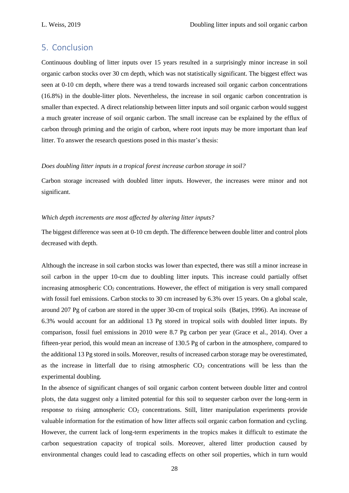### 5. Conclusion

Continuous doubling of litter inputs over 15 years resulted in a surprisingly minor increase in soil organic carbon stocks over 30 cm depth, which was not statistically significant. The biggest effect was seen at 0-10 cm depth, where there was a trend towards increased soil organic carbon concentrations (16.8%) in the double-litter plots. Nevertheless, the increase in soil organic carbon concentration is smaller than expected. A direct relationship between litter inputs and soil organic carbon would suggest a much greater increase of soil organic carbon. The small increase can be explained by the efflux of carbon through priming and the origin of carbon, where root inputs may be more important than leaf litter. To answer the research questions posed in this master's thesis:

#### *Does doubling litter inputs in a tropical forest increase carbon storage in soil?*

Carbon storage increased with doubled litter inputs. However, the increases were minor and not significant.

#### *Which depth increments are most affected by altering litter inputs?*

The biggest difference was seen at 0-10 cm depth. The difference between double litter and control plots decreased with depth.

Although the increase in soil carbon stocks was lower than expected, there was still a minor increase in soil carbon in the upper 10-cm due to doubling litter inputs. This increase could partially offset increasing atmospheric  $CO<sub>2</sub>$  concentrations. However, the effect of mitigation is very small compared with fossil fuel emissions. Carbon stocks to 30 cm increased by 6.3% over 15 years. On a global scale, around 207 Pg of carbon are stored in the upper 30-cm of tropical soils (Batjes, 1996). An increase of 6.3% would account for an additional 13 Pg stored in tropical soils with doubled litter inputs. By comparison, fossil fuel emissions in 2010 were 8.7 Pg carbon per year (Grace et al., 2014). Over a fifteen-year period, this would mean an increase of 130.5 Pg of carbon in the atmosphere, compared to the additional 13 Pg stored in soils. Moreover, results of increased carbon storage may be overestimated, as the increase in litterfall due to rising atmospheric  $CO<sub>2</sub>$  concentrations will be less than the experimental doubling.

In the absence of significant changes of soil organic carbon content between double litter and control plots, the data suggest only a limited potential for this soil to sequester carbon over the long-term in response to rising atmospheric CO<sub>2</sub> concentrations. Still, litter manipulation experiments provide valuable information for the estimation of how litter affects soil organic carbon formation and cycling. However, the current lack of long-term experiments in the tropics makes it difficult to estimate the carbon sequestration capacity of tropical soils. Moreover, altered litter production caused by environmental changes could lead to cascading effects on other soil properties, which in turn would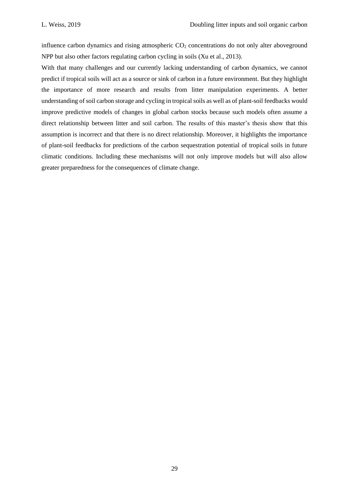influence carbon dynamics and rising atmospheric  $CO<sub>2</sub>$  concentrations do not only alter aboveground NPP but also other factors regulating carbon cycling in soils (Xu et al., 2013).

With that many challenges and our currently lacking understanding of carbon dynamics, we cannot predict if tropical soils will act as a source or sink of carbon in a future environment. But they highlight the importance of more research and results from litter manipulation experiments. A better understanding of soil carbon storage and cycling in tropical soils as well as of plant-soil feedbacks would improve predictive models of changes in global carbon stocks because such models often assume a direct relationship between litter and soil carbon. The results of this master's thesis show that this assumption is incorrect and that there is no direct relationship. Moreover, it highlights the importance of plant-soil feedbacks for predictions of the carbon sequestration potential of tropical soils in future climatic conditions. Including these mechanisms will not only improve models but will also allow greater preparedness for the consequences of climate change.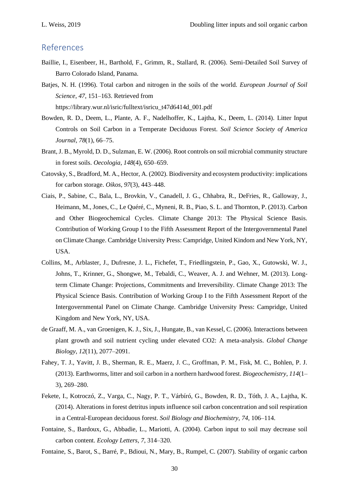## References

- Baillie, I., Eisenbeer, H., Barthold, F., Grimm, R., Stallard, R. (2006). Semi-Detailed Soil Survey of Barro Colorado Island, Panama.
- Batjes, N. H. (1996). Total carbon and nitrogen in the soils of the world. *European Journal of Soil Science*, *47*, 151–163. Retrieved from https://library.wur.nl/isric/fulltext/isricu\_t47d6414d\_001.pdf
- Bowden, R. D., Deem, L., Plante, A. F., Nadelhoffer, K., Lajtha, K., Deem, L. (2014). Litter Input Controls on Soil Carbon in a Temperate Deciduous Forest. *Soil Science Society of America Journal*, *78*(1), 66–75.
- Brant, J. B., Myrold, D. D., Sulzman, E. W. (2006). Root controls on soil microbial community structure in forest soils. *Oecologia*, *148*(4), 650–659.
- Catovsky, S., Bradford, M. A., Hector, A. (2002). Biodiversity and ecosystem productivity: implications for carbon storage. *Oikos*, *97*(3), 443–448.
- Ciais, P., Sabine, C., Bala, L., Brovkin, V., Canadell, J. G., Chhabra, R., DeFries, R., Galloway, J., Heimann, M., Jones, C., Le Quéré, C., Myneni, R. B., Piao, S. L. and Thornton, P. (2013). Carbon and Other Biogeochemical Cycles. Climate Change 2013: The Physical Science Basis. Contribution of Working Group I to the Fifth Assessment Report of the Intergovernmental Panel on Climate Change. Cambridge University Press: Campridge, United Kindom and New York, NY, USA.
- Collins, M., Arblaster, J., Dufresne, J. L., Fichefet, T., Friedlingstein, P., Gao, X., Gutowski, W. J., Johns, T., Krinner, G., Shongwe, M., Tebaldi, C., Weaver, A. J. and Wehner, M. (2013). Longterm Climate Change: Projections, Commitments and Irreversibility. Climate Change 2013: The Physical Science Basis. Contribution of Working Group I to the Fifth Assessment Report of the Intergovernmental Panel on Climate Change. Cambridge University Press: Campridge, United Kingdom and New York, NY, USA.
- de Graaff, M. A., van Groenigen, K. J., Six, J., Hungate, B., van Kessel, C. (2006). Interactions between plant growth and soil nutrient cycling under elevated CO2: A meta-analysis. *Global Change Biology*, *12*(11), 2077–2091.
- Fahey, T. J., Yavitt, J. B., Sherman, R. E., Maerz, J. C., Groffman, P. M., Fisk, M. C., Bohlen, P. J. (2013). Earthworms, litter and soil carbon in a northern hardwood forest. *Biogeochemistry*, *114*(1– 3), 269–280.
- Fekete, I., Kotroczó, Z., Varga, C., Nagy, P. T., Várbíró, G., Bowden, R. D., Tóth, J. A., Lajtha, K. (2014). Alterations in forest detritus inputs influence soil carbon concentration and soil respiration in a Central-European deciduous forest. *Soil Biology and Biochemistry*, *74*, 106–114.
- Fontaine, S., Bardoux, G., Abbadie, L., Mariotti, A. (2004). Carbon input to soil may decrease soil carbon content. *Ecology Letters*, *7*, 314–320.
- Fontaine, S., Barot, S., Barré, P., Bdioui, N., Mary, B., Rumpel, C. (2007). Stability of organic carbon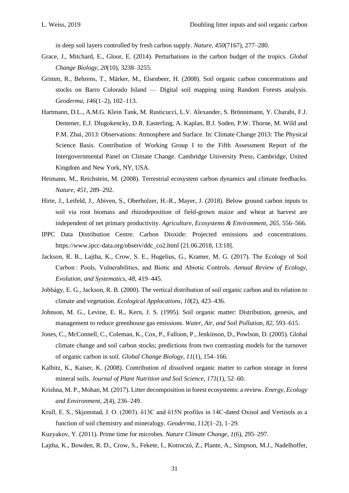in deep soil layers controlled by fresh carbon supply. *Nature*, *450*(7167), 277–280.

- Grace, J., Mitchard, E., Gloor, E. (2014). Perturbations in the carbon budget of the tropics. *Global Change Biology*, *20*(10), 3238–3255.
- Grimm, R., Behrens, T., Märker, M., Elsenbeer, H. (2008). Soil organic carbon concentrations and stocks on Barro Colorado Island — Digital soil mapping using Random Forests analysis. *Geoderma*, *146*(1–2), 102–113.
- Hartmann, D.L., A.M.G. Klein Tank, M. Rusticucci, L.V. Alexander, S. Brönnimann, Y. Charabi, F.J. Dentener, E.J. Dlugokencky, D.R. Easterling, A. Kaplan, B.J. Soden, P.W. Thorne, M. Wild and P.M. Zhai, 2013: Observations: Atmosphere and Surface. In: Climate Change 2013: The Physical Science Basis. Contribution of Working Group I to the Fifth Assessment Report of the Intergovernmental Panel on Climate Change. Cambridge University Press, Cambridge, United Kingdom and New York, NY, USA.
- Heimann, M., Reichstein, M. (2008). Terrestrial ecosystem carbon dynamics and climate feedbacks. *Nature*, *451*, 289–292.
- Hirte, J., Leifeld, J., Abiven, S., Oberholzer, H.-R., Mayer, J. (2018). Below ground carbon inputs to soil via root biomass and rhizodeposition of field-grown maize and wheat at harvest are independent of net primary productivity. *Agriculture, Ecosystems & Environment*, *265*, 556–566.
- IPPC Data Distribution Centre. Carbon Dioxide: Projected emissions and concentrations. [https://www.ipcc-data.org/observ/ddc\\_co2.html](https://www.ipcc-data.org/observ/ddc_co2.html) [21.06.2018, 13:18].
- Jackson, R. B., Lajtha, K., Crow, S. E., Hugelius, G., Kramer, M. G. (2017). The Ecology of Soil Carbon : Pools, Vulnerabilities, and Biotic and Abiotic Controls. *Annual Review of Ecology, Evolution, and Systematics*, *48*, 419–445.
- Jobbágy, E. G., Jackson, R. B. (2000). The vertical distribution of soil organic carbon and its relation to climate and vegetation. *Ecological Applocations*, *10*(2), 423–436.
- Johnson, M. G., Levine, E. R., Kern, J. S. (1995). Soil organic matter: Distribution, genesis, and management to reduce greenhouse gas emissions. *Water, Air, and Soil Pollution*, *82*, 593–615.
- Jones, C., McConnell, C., Coleman, K., Cox, P., Falloon, P., Jenkinson, D., Powlson, D. (2005). Global climate change and soil carbon stocks; predictions from two contrasting models for the turnover of organic carbon in soil. *Global Change Biology*, *11*(1), 154–166.
- Kalbitz, K., Kaiser, K. (2008). Contribution of dissolved organic matter to carbon storage in forest mineral soils. *Journal of Plant Nutrition and Soil Science*, *171*(1), 52–60.
- Krishna, M. P., Mohan, M. (2017). Litter decomposition in forest ecosystems: a review. *Energy, Ecology and Environment*, *2*(4), 236–249.
- Krull, E. S., Skjemstad, J. O. (2003). δ13C and δ15N profiles in 14C-dated Oxisol and Vertisols as a function of soil chemistry and mineralogy. *Geoderma*, *112*(1–2), 1–29.
- Kuzyakov, Y. (2011). Prime time for microbes. *Nature Climate Change*, *1*(6), 295–297.
- Lajtha, K., Bowden, R. D., Crow, S., Fekete, I., Kotroczó, Z., Plante, A., Simpson, M.J., Nadelhoffer,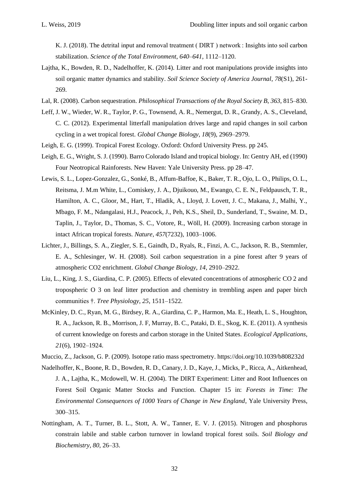K. J. (2018). The detrital input and removal treatment ( DIRT ) network : Insights into soil carbon stabilization. *Science of the Total Environment*, *640*–*641*, 1112–1120.

- Lajtha, K., Bowden, R. D., Nadelhoffer, K. (2014). Litter and root manipulations provide insights into soil organic matter dynamics and stability. *Soil Science Society of America Journal*, *78*(S1), 261- 269.
- Lal, R. (2008). Carbon sequestration. *Philosophical Transactions of the Royal Society B*, *363*, 815–830.
- Leff, J. W., Wieder, W. R., Taylor, P. G., Townsend, A. R., Nemergut, D. R., Grandy, A. S., Cleveland, C. C. (2012). Experimental litterfall manipulation drives large and rapid changes in soil carbon cycling in a wet tropical forest. *Global Change Biology*, *18*(9), 2969–2979.
- Leigh, E. G. (1999). Tropical Forest Ecology. Oxford: Oxford University Press. pp 245.
- Leigh, E. G., Wright, S. J. (1990). Barro Colorado Island and tropical biology. In: Gentry AH, ed (1990) Four Neotropical Rainforests. New Haven: Yale University Press. pp 28–47.
- Lewis, S. L., Lopez-Gonzalez, G., Sonké, B., Affum-Baffoe, K., Baker, T. R., Ojo, L. O., Philips, O. L., Reitsma, J. M.m White, L., Comiskey, J. A., Djuikouo, M., Ewango, C. E. N., Feldpausch, T. R., Hamilton, A. C., Gloor, M., Hart, T., Hladik, A., Lloyd, J. Lovett, J. C., Makana, J., Malhi, Y., Mbago, F. M., Ndangalasi, H.J., Peacock, J., Peh, K.S., Sheil, D., Sunderland, T., Swaine, M. D., Taplin, J., Taylor, D., Thomas, S. C., Votore, R., Wöll, H. (2009). Increasing carbon storage in intact African tropical forests. *Nature*, *457*(7232), 1003–1006.
- Lichter, J., Billings, S. A., Ziegler, S. E., Gaindh, D., Ryals, R., Finzi, A. C., Jackson, R. B., Stemmler, E. A., Schlesinger, W. H. (2008). Soil carbon sequestration in a pine forest after 9 years of atmospheric CO2 enrichment. *Global Change Biology*, *14*, 2910–2922.
- Liu, L., King, J. S., Giardina, C. P. (2005). Effects of elevated concentrations of atmospheric CO 2 and tropospheric O 3 on leaf litter production and chemistry in trembling aspen and paper birch communities †. *Tree Physiology*, *25*, 1511–1522.
- McKinley, D. C., Ryan, M. G., Birdsey, R. A., Giardina, C. P., Harmon, Ma. E., Heath, L. S., Houghton, R. A., Jackson, R. B., Morrison, J. F, Murray, B. C., Pataki, D. E., Skog, K. E. (2011). A synthesis of current knowledge on forests and carbon storage in the United States. *Ecological Applications*, *21*(6), 1902–1924.
- Muccio, Z., Jackson, G. P. (2009). Isotope ratio mass spectrometry. https://doi.org/10.1039/b808232d
- Nadelhoffer, K., Boone, R. D., Bowden, R. D., Canary, J. D., Kaye, J., Micks, P., Ricca, A., Aitkenhead, J. A., Lajtha, K., Mcdowell, W. H. (2004). The DIRT Experiment: Litter and Root Influences on Forest Soil Organic Matter Stocks and Function. Chapter 15 in: *Forests in Time: The Environmental Consequences of 1000 Years of Change in New England*, Yale University Press, 300–315.
- Nottingham, A. T., Turner, B. L., Stott, A. W., Tanner, E. V. J. (2015). Nitrogen and phosphorus constrain labile and stable carbon turnover in lowland tropical forest soils. *Soil Biology and Biochemistry*, *80*, 26–33.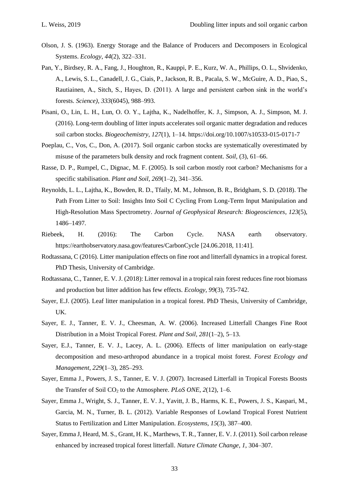- Olson, J. S. (1963). Energy Storage and the Balance of Producers and Decomposers in Ecological Systems. *Ecology*, *44*(2), 322–331.
- Pan, Y., Birdsey, R. A., Fang, J., Houghton, R., Kauppi, P. E., Kurz, W. A., Phillips, O. L., Shvidenko, A., Lewis, S. L., Canadell, J. G., Ciais, P., Jackson, R. B., Pacala, S. W., McGuire, A. D., Piao, S., Rautiainen, A., Sitch, S., Hayes, D. (2011). A large and persistent carbon sink in the world's forests. *Science)*, *333*(6045), 988–993.
- Pisani, O., Lin, L. H., Lun, O. O. Y., Lajtha, K., Nadelhoffer, K. J., Simpson, A. J., Simpson, M. J. (2016). Long-term doubling of litter inputs accelerates soil organic matter degradation and reduces soil carbon stocks. *Biogeochemistry*, *127*(1), 1–14. https://doi.org/10.1007/s10533-015-0171-7
- Poeplau, C., Vos, C., Don, A. (2017). Soil organic carbon stocks are systematically overestimated by misuse of the parameters bulk density and rock fragment content. *Soil*, (3), 61–66.
- Rasse, D. P., Rumpel, C., Dignac, M. F. (2005). Is soil carbon mostly root carbon? Mechanisms for a specific stabilisation. *Plant and Soil*, *269*(1–2), 341–356.
- Reynolds, L. L., Lajtha, K., Bowden, R. D., Tfaily, M. M., Johnson, B. R., Bridgham, S. D. (2018). The Path From Litter to Soil: Insights Into Soil C Cycling From Long-Term Input Manipulation and High-Resolution Mass Spectrometry. *Journal of Geophysical Research: Biogeosciences*, *123*(5), 1486–1497.
- Riebeek, H. (2016): The Carbon Cycle. NASA earth observatory. <https://earthobservatory.nasa.gov/features/CarbonCycle> [24.06.2018, 11:41].
- Rodtassana, C (2016). Litter manipulation effects on fine root and litterfall dynamics in a tropical forest. PhD Thesis, University of Cambridge.
- Rodtassana, C., Tanner, E. V. J. (2018): Litter removal in a tropical rain forest reduces fine root biomass and production but litter addition has few effects. *Ecology, 99*(3), 735-742.
- Sayer, E.J. (2005). Leaf litter manipulation in a tropical forest. PhD Thesis, University of Cambridge, UK.
- Sayer, E. J., Tanner, E. V. J., Cheesman, A. W. (2006). Increased Litterfall Changes Fine Root Distribution in a Moist Tropical Forest. *Plant and Soil*, *281*(1–2), 5–13.
- Sayer, E.J., Tanner, E. V. J., Lacey, A. L. (2006). Effects of litter manipulation on early-stage decomposition and meso-arthropod abundance in a tropical moist forest. *Forest Ecology and Management*, *229*(1–3), 285–293.
- Sayer, Emma J., Powers, J. S., Tanner, E. V. J. (2007). Increased Litterfall in Tropical Forests Boosts the Transfer of Soil CO<sup>2</sup> to the Atmosphere. *PLoS ONE*, *2*(12), 1–6.
- Sayer, Emma J., Wright, S. J., Tanner, E. V. J., Yavitt, J. B., Harms, K. E., Powers, J. S., Kaspari, M., Garcia, M. N., Turner, B. L. (2012). Variable Responses of Lowland Tropical Forest Nutrient Status to Fertilization and Litter Manipulation. *Ecosystems*, *15*(3), 387–400.
- Sayer, Emma J, Heard, M. S., Grant, H. K., Marthews, T. R., Tanner, E. V. J. (2011). Soil carbon release enhanced by increased tropical forest litterfall. *Nature Climate Change*, *1*, 304–307.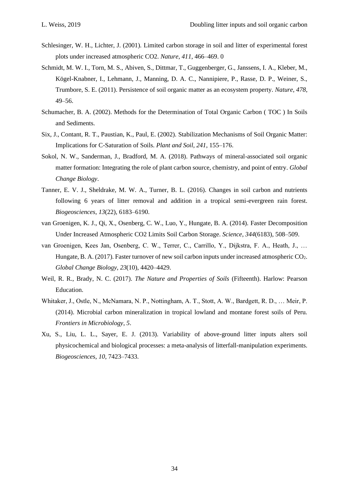- Schlesinger, W. H., Lichter, J. (2001). Limited carbon storage in soil and litter of experimental forest plots under increased atmospheric CO2. *Nature*, *411*, 466–469. 0
- Schmidt, M. W. I., Torn, M. S., Abiven, S., Dittmar, T., Guggenberger, G., Janssens, I. A., Kleber, M., Kögel-Knabner, I., Lehmann, J., Manning, D. A. C., Nannipiere, P., Rasse, D. P., Weiner, S., Trumbore, S. E. (2011). Persistence of soil organic matter as an ecosystem property. *Nature*, *478*, 49–56.
- Schumacher, B. A. (2002). Methods for the Determination of Total Organic Carbon ( TOC ) In Soils and Sediments.
- Six, J., Contant, R. T., Paustian, K., Paul, E. (2002). Stabilization Mechanisms of Soil Organic Matter: Implications for C-Saturation of Soils. *Plant and Soil*, *241*, 155–176.
- Sokol, N. W., Sanderman, J., Bradford, M. A. (2018). Pathways of mineral-associated soil organic matter formation: Integrating the role of plant carbon source, chemistry, and point of entry. *Global Change Biology*.
- Tanner, E. V. J., Sheldrake, M. W. A., Turner, B. L. (2016). Changes in soil carbon and nutrients following 6 years of litter removal and addition in a tropical semi-evergreen rain forest. *Biogeosciences*, *13*(22), 6183–6190.
- van Groenigen, K. J., Qi, X., Osenberg, C. W., Luo, Y., Hungate, B. A. (2014). Faster Decomposition Under Increased Atmospheric CO2 Limits Soil Carbon Storage. *Science*, *344*(6183), 508–509.
- van Groenigen, Kees Jan, Osenberg, C. W., Terrer, C., Carrillo, Y., Dijkstra, F. A., Heath, J., … Hungate, B. A. (2017). Faster turnover of new soil carbon inputs under increased atmospheric CO2. *Global Change Biology*, *23*(10), 4420–4429.
- Weil, R. R., Brady, N. C. (2017). *The Nature and Properties of Soils* (Fifteenth). Harlow: Pearson Education.
- Whitaker, J., Ostle, N., McNamara, N. P., Nottingham, A. T., Stott, A. W., Bardgett, R. D., … Meir, P. (2014). Microbial carbon mineralization in tropical lowland and montane forest soils of Peru. *Frontiers in Microbiology*, *5*.
- Xu, S., Liu, L. L., Sayer, E. J. (2013). Variability of above-ground litter inputs alters soil physicochemical and biological processes: a meta-analysis of litterfall-manipulation experiments. *Biogeosciences*, *10*, 7423–7433.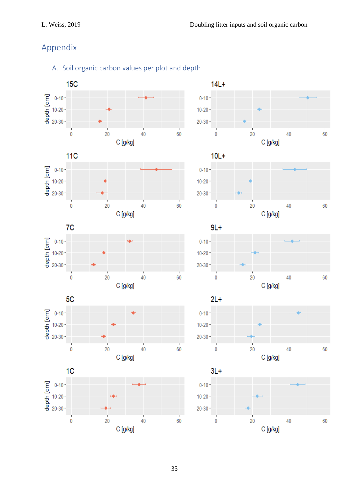## Appendix

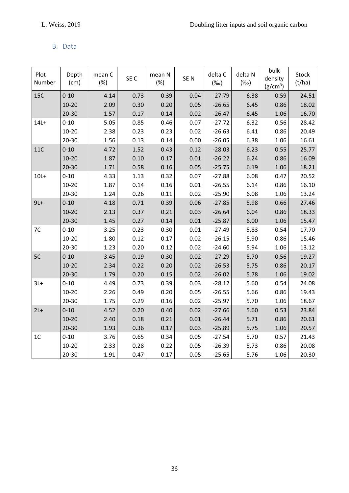### B. Data

| Plot<br>Number | Depth<br>(cm) | mean C<br>(%) | SE C | mean N<br>(%) | SE <sub>N</sub> | delta C<br>$(\%0)$ | delta N<br>(%o) | bulk<br>density<br>(g/cm <sup>3</sup> ) | Stock<br>(t/ha) |
|----------------|---------------|---------------|------|---------------|-----------------|--------------------|-----------------|-----------------------------------------|-----------------|
| <b>15C</b>     | $0 - 10$      | 4.14          | 0.73 | 0.39          | 0.04            | $-27.79$           | 6.38            | 0.59                                    | 24.51           |
|                | $10 - 20$     | 2.09          | 0.30 | 0.20          | 0.05            | $-26.65$           | 6.45            | 0.86                                    | 18.02           |
|                | $20 - 30$     | 1.57          | 0.17 | 0.14          | 0.02            | $-26.47$           | 6.45            | 1.06                                    | 16.70           |
| $14L +$        | $0 - 10$      | 5.05          | 0.85 | 0.46          | 0.07            | $-27.72$           | 6.32            | 0.56                                    | 28.42           |
|                | $10 - 20$     | 2.38          | 0.23 | 0.23          | 0.02            | $-26.63$           | 6.41            | 0.86                                    | 20.49           |
|                | $20 - 30$     | 1.56          | 0.13 | 0.14          | 0.00            | $-26.05$           | 6.38            | 1.06                                    | 16.61           |
| <b>11C</b>     | $0 - 10$      | 4.72          | 1.52 | 0.43          | 0.12            | $-28.03$           | 6.23            | 0.55                                    | 25.77           |
|                | $10 - 20$     | 1.87          | 0.10 | 0.17          | 0.01            | $-26.22$           | 6.24            | 0.86                                    | 16.09           |
|                | $20 - 30$     | 1.71          | 0.58 | 0.16          | 0.05            | $-25.75$           | 6.19            | 1.06                                    | 18.21           |
| $10L+$         | $0 - 10$      | 4.33          | 1.13 | 0.32          | 0.07            | $-27.88$           | 6.08            | 0.47                                    | 20.52           |
|                | $10 - 20$     | 1.87          | 0.14 | 0.16          | 0.01            | $-26.55$           | 6.14            | 0.86                                    | 16.10           |
|                | 20-30         | 1.24          | 0.26 | 0.11          | 0.02            | $-25.90$           | 6.08            | 1.06                                    | 13.24           |
| $9L+$          | $0 - 10$      | 4.18          | 0.71 | 0.39          | 0.06            | $-27.85$           | 5.98            | 0.66                                    | 27.46           |
|                | $10 - 20$     | 2.13          | 0.37 | 0.21          | 0.03            | $-26.64$           | 6.04            | 0.86                                    | 18.33           |
|                | $20 - 30$     | 1.45          | 0.27 | 0.14          | 0.01            | $-25.87$           | 6.00            | 1.06                                    | 15.47           |
| 7C             | $0 - 10$      | 3.25          | 0.23 | 0.30          | 0.01            | $-27.49$           | 5.83            | 0.54                                    | 17.70           |
|                | $10 - 20$     | 1.80          | 0.12 | 0.17          | 0.02            | $-26.15$           | 5.90            | 0.86                                    | 15.46           |
|                | $20 - 30$     | 1.23          | 0.20 | 0.12          | 0.02            | $-24.60$           | 5.94            | 1.06                                    | 13.12           |
| 5C             | $0 - 10$      | 3.45          | 0.19 | 0.30          | 0.02            | $-27.29$           | 5.70            | 0.56                                    | 19.27           |
|                | $10 - 20$     | 2.34          | 0.22 | 0.20          | 0.02            | $-26.53$           | 5.75            | 0.86                                    | 20.17           |
|                | $20 - 30$     | 1.79          | 0.20 | 0.15          | 0.02            | $-26.02$           | 5.78            | 1.06                                    | 19.02           |
| $3L+$          | $0 - 10$      | 4.49          | 0.73 | 0.39          | 0.03            | $-28.12$           | 5.60            | 0.54                                    | 24.08           |
|                | $10 - 20$     | 2.26          | 0.49 | 0.20          | 0.05            | $-26.55$           | 5.66            | 0.86                                    | 19.43           |
|                | $20 - 30$     | 1.75          | 0.29 | 0.16          | 0.02            | $-25.97$           | 5.70            | 1.06                                    | 18.67           |
| $2L+$          | $0 - 10$      | 4.52          | 0.20 | 0.40          | 0.02            | $-27.66$           | 5.60            | 0.53                                    | 23.84           |
|                | $10 - 20$     | 2.40          | 0.18 | 0.21          | 0.01            | $-26.44$           | 5.71            | 0.86                                    | 20.61           |
|                | $20 - 30$     | 1.93          | 0.36 | 0.17          | 0.03            | $-25.89$           | 5.75            | 1.06                                    | 20.57           |
| 1 <sub>C</sub> | $0 - 10$      | 3.76          | 0.65 | 0.34          | 0.05            | $-27.54$           | 5.70            | 0.57                                    | 21.43           |
|                | $10 - 20$     | 2.33          | 0.28 | 0.22          | 0.05            | $-26.39$           | 5.73            | 0.86                                    | 20.08           |
|                | $20 - 30$     | 1.91          | 0.47 | 0.17          | 0.05            | $-25.65$           | 5.76            | 1.06                                    | 20.30           |